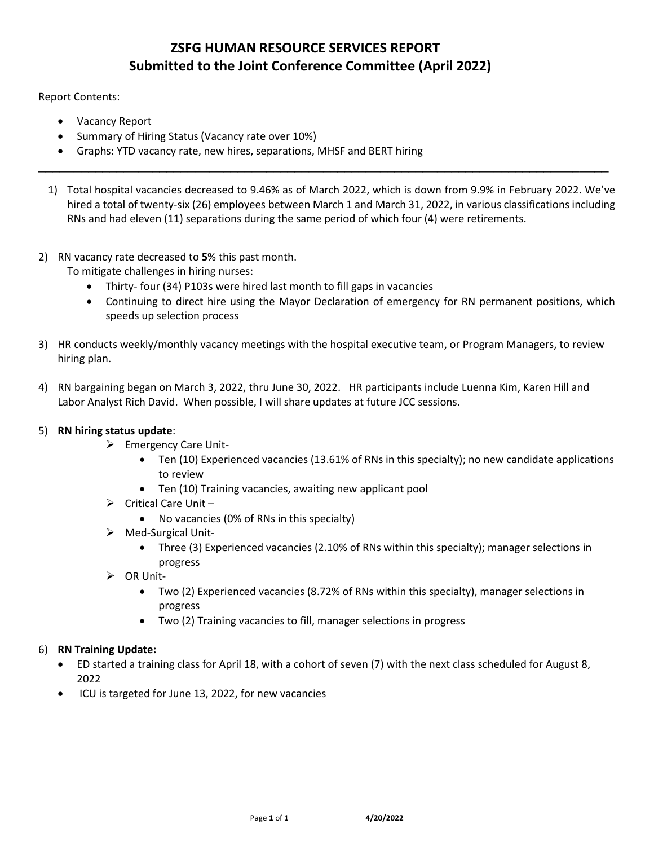# **ZSFG HUMAN RESOURCE SERVICES REPORT Submitted to the Joint Conference Committee (April 2022)**

Report Contents:

- Vacancy Report
- Summary of Hiring Status (Vacancy rate over 10%)
- Graphs: YTD vacancy rate, new hires, separations, MHSF and BERT hiring
- 1) Total hospital vacancies decreased to 9.46% as of March 2022, which is down from 9.9% in February 2022. We've hired a total of twenty-six (26) employees between March 1 and March 31, 2022, in various classifications including RNs and had eleven (11) separations during the same period of which four (4) were retirements.

\_\_\_\_\_\_\_\_\_\_\_\_\_\_\_\_\_\_\_\_\_\_\_\_\_\_\_\_\_\_\_\_\_\_\_\_\_\_\_\_\_\_\_\_\_\_\_\_\_\_\_\_\_\_\_\_\_\_\_\_\_\_\_\_\_\_\_\_\_\_\_\_\_\_\_\_\_\_\_\_

2) RN vacancy rate decreased to **5**% this past month.

To mitigate challenges in hiring nurses:

- Thirty- four (34) P103s were hired last month to fill gaps in vacancies
- Continuing to direct hire using the Mayor Declaration of emergency for RN permanent positions, which speeds up selection process
- 3) HR conducts weekly/monthly vacancy meetings with the hospital executive team, or Program Managers, to review hiring plan.
- 4) RN bargaining began on March 3, 2022, thru June 30, 2022. HR participants include Luenna Kim, Karen Hill and Labor Analyst Rich David. When possible, I will share updates at future JCC sessions.

#### 5) **RN hiring status update**:

- ➢ Emergency Care Unit-
	- Ten (10) Experienced vacancies (13.61% of RNs in this specialty); no new candidate applications to review
	- Ten (10) Training vacancies, awaiting new applicant pool
- $\triangleright$  Critical Care Unit
	- No vacancies (0% of RNs in this specialty)
- ➢ Med-Surgical Unit-
	- Three (3) Experienced vacancies (2.10% of RNs within this specialty); manager selections in progress
- ➢ OR Unit-
	- Two (2) Experienced vacancies (8.72% of RNs within this specialty), manager selections in progress
	- Two (2) Training vacancies to fill, manager selections in progress

#### 6) **RN Training Update:**

- ED started a training class for April 18, with a cohort of seven (7) with the next class scheduled for August 8, 2022
- ICU is targeted for June 13, 2022, for new vacancies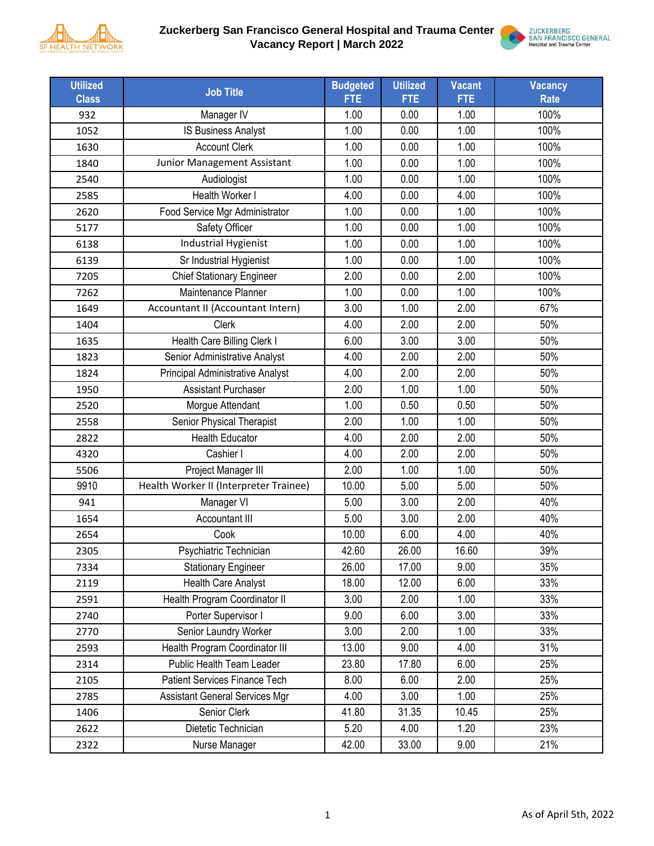

### **Zuckerberg San Francisco General Hospital and Trauma Center Vacancy Report | March 2022**



| <b>Utilized</b> | <b>Job Title</b>                        | <b>Budgeted</b> | <b>Utilized</b> | <b>Vacant</b> | <b>Vacancy</b> |
|-----------------|-----------------------------------------|-----------------|-----------------|---------------|----------------|
| <b>Class</b>    |                                         | <b>FTE</b>      | <b>FTE</b>      | <b>FTE</b>    | <b>Rate</b>    |
| 932             | Manager IV                              | 1.00            | 0.00            | 1.00          | 100%           |
| 1052            | IS Business Analyst                     | 1.00            | 0.00            | 1.00          | 100%           |
| 1630            | <b>Account Clerk</b>                    | 1.00            | 0.00            | 1.00          | 100%           |
| 1840            | Junior Management Assistant             | 1.00            | 0.00            | 1.00          | 100%           |
| 2540            | Audiologist                             | 1.00            | 0.00            | 1.00          | 100%           |
| 2585            | Health Worker I                         | 4.00            | 0.00            | 4.00          | 100%           |
| 2620            | Food Service Mgr Administrator          | 1.00            | 0.00            | 1.00          | 100%           |
| 5177            | Safety Officer                          | 1.00            | 0.00            | 1.00          | 100%           |
| 6138            | Industrial Hygienist                    | 1.00            | 0.00            | 1.00          | 100%           |
| 6139            | Sr Industrial Hygienist                 | 1.00            | 0.00            | 1.00          | 100%           |
| 7205            | <b>Chief Stationary Engineer</b>        | 2.00            | 0.00            | 2.00          | 100%           |
| 7262            | Maintenance Planner                     | 1.00            | 0.00            | 1.00          | 100%           |
| 1649            | Accountant II (Accountant Intern)       | 3.00            | 1.00            | 2.00          | 67%            |
| 1404            | <b>Clerk</b>                            | 4.00            | 2.00            | 2.00          | 50%            |
| 1635            | Health Care Billing Clerk I             | 6.00            | 3.00            | 3.00          | 50%            |
| 1823            | Senior Administrative Analyst           | 4.00            | 2.00            | 2.00          | 50%            |
| 1824            | <b>Principal Administrative Analyst</b> | 4.00            | 2.00            | 2.00          | 50%            |
| 1950            | <b>Assistant Purchaser</b>              | 2.00            | 1.00            | 1.00          | 50%            |
| 2520            | Morgue Attendant                        | 1.00            | 0.50            | 0.50          | 50%            |
| 2558            | Senior Physical Therapist               | 2.00            | 1.00            | 1.00          | 50%            |
| 2822            | <b>Health Educator</b>                  | 4.00            | 2.00            | 2.00          | 50%            |
| 4320            | Cashier I                               | 4.00            | 2.00            | 2.00          | 50%            |
| 5506            | Project Manager III                     | 2.00            | 1.00            | 1.00          | 50%            |
| 9910            | Health Worker II (Interpreter Trainee)  | 10.00           | 5.00            | 5.00          | 50%            |
| 941             | Manager VI                              | 5.00            | 3.00            | 2.00          | 40%            |
| 1654            | <b>Accountant III</b>                   | 5.00            | 3.00            | 2.00          | 40%            |
| 2654            | Cook                                    | 10.00           | 6.00            | 4.00          | 40%            |
| 2305            | Psychiatric Technician                  | 42.60           | 26.00           | 16.60         | 39%            |
| 7334            | <b>Stationary Engineer</b>              | 26.00           | 17.00           | 9.00          | 35%            |
| 2119            | Health Care Analyst                     | 18.00           | 12.00           | 6.00          | 33%            |
| 2591            | Health Program Coordinator II           | 3.00            | 2.00            | 1.00          | 33%            |
| 2740            | Porter Supervisor I                     | 9.00            | 6.00            | 3.00          | 33%            |
| 2770            | Senior Laundry Worker                   | 3.00            | 2.00            | 1.00          | 33%            |
| 2593            | Health Program Coordinator III          | 13.00           | 9.00            | 4.00          | 31%            |
| 2314            | Public Health Team Leader               | 23.80           | 17.80           | 6.00          | 25%            |
| 2105            | <b>Patient Services Finance Tech</b>    | 8.00            | 6.00            | 2.00          | 25%            |
| 2785            | <b>Assistant General Services Mgr</b>   | 4.00            | 3.00            | 1.00          | 25%            |
| 1406            | Senior Clerk                            | 41.80           | 31.35           | 10.45         | 25%            |
| 2622            | Dietetic Technician                     | 5.20            | 4.00            | 1.20          | 23%            |
| 2322            | Nurse Manager                           | 42.00           | 33.00           | 9.00          | 21%            |
|                 |                                         |                 |                 |               |                |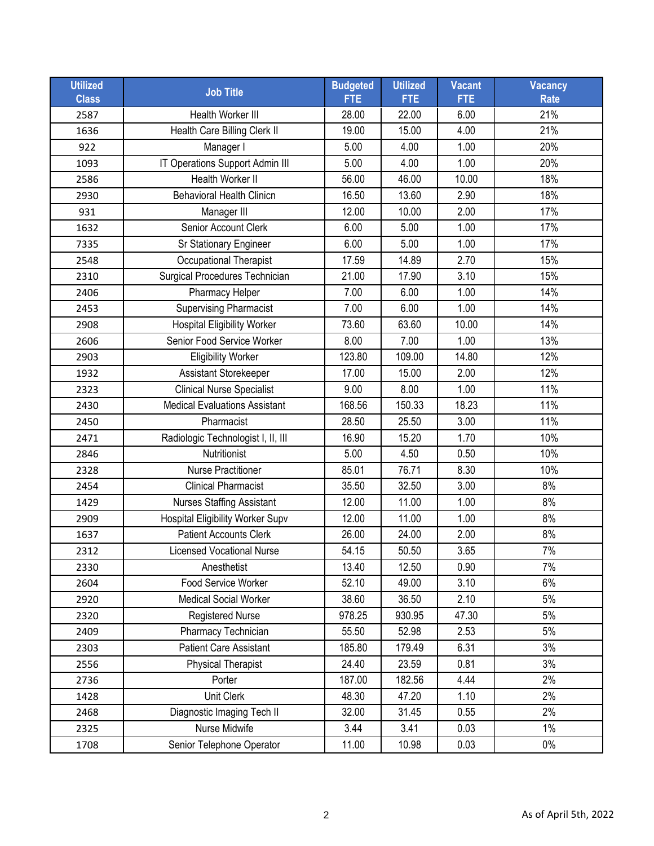| <b>Utilized</b><br><b>Class</b> | <b>Job Title</b>                     | <b>Budgeted</b><br><b>FTE</b> | <b>Utilized</b><br><b>FTE</b> | <b>Vacant</b><br><b>FTE</b> | Vacancy<br><b>Rate</b> |
|---------------------------------|--------------------------------------|-------------------------------|-------------------------------|-----------------------------|------------------------|
| 2587                            | <b>Health Worker III</b>             | 28.00                         | 22.00                         | 6.00                        | 21%                    |
| 1636                            | Health Care Billing Clerk II         | 19.00                         | 15.00                         | 4.00                        | 21%                    |
| 922                             | Manager I                            | 5.00                          | 4.00                          | 1.00                        | 20%                    |
| 1093                            | IT Operations Support Admin III      | 5.00                          | 4.00                          | 1.00                        | 20%                    |
| 2586                            | <b>Health Worker II</b>              | 56.00                         | 46.00                         | 10.00                       | 18%                    |
| 2930                            | <b>Behavioral Health Clinicn</b>     | 16.50                         | 13.60                         | 2.90                        | 18%                    |
| 931                             | Manager III                          | 12.00                         | 10.00                         | 2.00                        | 17%                    |
| 1632                            | Senior Account Clerk                 | 6.00                          | 5.00                          | 1.00                        | 17%                    |
| 7335                            | Sr Stationary Engineer               | 6.00                          | 5.00                          | 1.00                        | 17%                    |
| 2548                            | Occupational Therapist               | 17.59                         | 14.89                         | 2.70                        | 15%                    |
| 2310                            | Surgical Procedures Technician       | 21.00                         | 17.90                         | 3.10                        | 15%                    |
| 2406                            | Pharmacy Helper                      | 7.00                          | 6.00                          | 1.00                        | 14%                    |
| 2453                            | <b>Supervising Pharmacist</b>        | 7.00                          | 6.00                          | 1.00                        | 14%                    |
| 2908                            | <b>Hospital Eligibility Worker</b>   | 73.60                         | 63.60                         | 10.00                       | 14%                    |
| 2606                            | Senior Food Service Worker           | 8.00                          | 7.00                          | 1.00                        | 13%                    |
| 2903                            | <b>Eligibility Worker</b>            | 123.80                        | 109.00                        | 14.80                       | 12%                    |
| 1932                            | Assistant Storekeeper                | 17.00                         | 15.00                         | 2.00                        | 12%                    |
| 2323                            | <b>Clinical Nurse Specialist</b>     | 9.00                          | 8.00                          | 1.00                        | 11%                    |
| 2430                            | <b>Medical Evaluations Assistant</b> | 168.56                        | 150.33                        | 18.23                       | 11%                    |
| 2450                            | Pharmacist                           | 28.50                         | 25.50                         | 3.00                        | 11%                    |
| 2471                            | Radiologic Technologist I, II, III   | 16.90                         | 15.20                         | 1.70                        | 10%                    |
| 2846                            | Nutritionist                         | 5.00                          | 4.50                          | 0.50                        | 10%                    |
| 2328                            | <b>Nurse Practitioner</b>            | 85.01                         | 76.71                         | 8.30                        | 10%                    |
| 2454                            | <b>Clinical Pharmacist</b>           | 35.50                         | 32.50                         | 3.00                        | 8%                     |
| 1429                            | <b>Nurses Staffing Assistant</b>     | 12.00                         | 11.00                         | 1.00                        | 8%                     |
| 2909                            | Hospital Eligibility Worker Supv     | 12.00                         | 11.00                         | 1.00                        | 8%                     |
| 1637                            | <b>Patient Accounts Clerk</b>        | 26.00                         | 24.00                         | 2.00                        | 8%                     |
| 2312                            | <b>Licensed Vocational Nurse</b>     | 54.15                         | 50.50                         | 3.65                        | 7%                     |
| 2330                            | Anesthetist                          | 13.40                         | 12.50                         | 0.90                        | 7%                     |
| 2604                            | Food Service Worker                  | 52.10                         | 49.00                         | 3.10                        | 6%                     |
| 2920                            | <b>Medical Social Worker</b>         | 38.60                         | 36.50                         | 2.10                        | 5%                     |
| 2320                            | <b>Registered Nurse</b>              | 978.25                        | 930.95                        | 47.30                       | 5%                     |
| 2409                            | Pharmacy Technician                  | 55.50                         | 52.98                         | 2.53                        | 5%                     |
| 2303                            | <b>Patient Care Assistant</b>        | 185.80                        | 179.49                        | 6.31                        | 3%                     |
| 2556                            | <b>Physical Therapist</b>            | 24.40                         | 23.59                         | 0.81                        | 3%                     |
| 2736                            | Porter                               | 187.00                        | 182.56                        | 4.44                        | 2%                     |
| 1428                            | Unit Clerk                           | 48.30                         | 47.20                         | 1.10                        | 2%                     |
| 2468                            | Diagnostic Imaging Tech II           | 32.00                         | 31.45                         | 0.55                        | 2%                     |
| 2325                            | Nurse Midwife                        | 3.44                          | 3.41                          | 0.03                        | 1%                     |
| 1708                            | Senior Telephone Operator            | 11.00                         | 10.98                         | 0.03                        | $0\%$                  |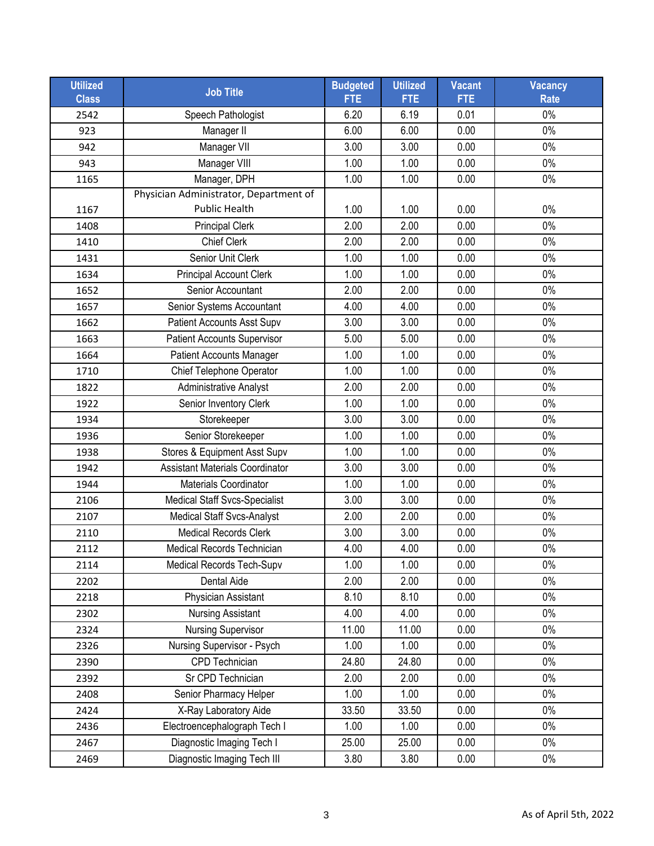| <b>Utilized</b><br><b>Class</b> | <b>Job Title</b>                       | <b>Budgeted</b><br><b>FTE</b> | <b>Utilized</b><br><b>FTE</b> | <b>Vacant</b><br><b>FTE</b> | <b>Vacancy</b><br><b>Rate</b> |
|---------------------------------|----------------------------------------|-------------------------------|-------------------------------|-----------------------------|-------------------------------|
| 2542                            | Speech Pathologist                     | 6.20                          | 6.19                          | 0.01                        | $0\%$                         |
| 923                             | Manager II                             | 6.00                          | 6.00                          | 0.00                        | $0\%$                         |
| 942                             | Manager VII                            | 3.00                          | 3.00                          | 0.00                        | $0\%$                         |
| 943                             | Manager VIII                           | 1.00                          | 1.00                          | 0.00                        | $0\%$                         |
| 1165                            | Manager, DPH                           | 1.00                          | 1.00                          | 0.00                        | $0\%$                         |
|                                 | Physician Administrator, Department of |                               |                               |                             |                               |
| 1167                            | Public Health                          | 1.00                          | 1.00                          | 0.00                        | $0\%$                         |
| 1408                            | <b>Principal Clerk</b>                 | 2.00                          | 2.00                          | 0.00                        | 0%                            |
| 1410                            | <b>Chief Clerk</b>                     | 2.00                          | 2.00                          | 0.00                        | $0\%$                         |
| 1431                            | Senior Unit Clerk                      | 1.00                          | 1.00                          | 0.00                        | $0\%$                         |
| 1634                            | <b>Principal Account Clerk</b>         | 1.00                          | 1.00                          | 0.00                        | $0\%$                         |
| 1652                            | Senior Accountant                      | 2.00                          | 2.00                          | 0.00                        | $0\%$                         |
| 1657                            | Senior Systems Accountant              | 4.00                          | 4.00                          | 0.00                        | $0\%$                         |
| 1662                            | Patient Accounts Asst Supv             | 3.00                          | 3.00                          | 0.00                        | $0\%$                         |
| 1663                            | <b>Patient Accounts Supervisor</b>     | 5.00                          | 5.00                          | 0.00                        | $0\%$                         |
| 1664                            | <b>Patient Accounts Manager</b>        | 1.00                          | 1.00                          | 0.00                        | $0\%$                         |
| 1710                            | Chief Telephone Operator               | 1.00                          | 1.00                          | 0.00                        | $0\%$                         |
| 1822                            | <b>Administrative Analyst</b>          | 2.00                          | 2.00                          | 0.00                        | $0\%$                         |
| 1922                            | Senior Inventory Clerk                 | 1.00                          | 1.00                          | 0.00                        | $0\%$                         |
| 1934                            | Storekeeper                            | 3.00                          | 3.00                          | 0.00                        | $0\%$                         |
| 1936                            | Senior Storekeeper                     | 1.00                          | 1.00                          | 0.00                        | $0\%$                         |
| 1938                            | Stores & Equipment Asst Supv           | 1.00                          | 1.00                          | 0.00                        | $0\%$                         |
| 1942                            | <b>Assistant Materials Coordinator</b> | 3.00                          | 3.00                          | 0.00                        | $0\%$                         |
| 1944                            | Materials Coordinator                  | 1.00                          | 1.00                          | 0.00                        | $0\%$                         |
| 2106                            | <b>Medical Staff Svcs-Specialist</b>   | 3.00                          | 3.00                          | 0.00                        | $0\%$                         |
| 2107                            | <b>Medical Staff Svcs-Analyst</b>      | 2.00                          | 2.00                          | 0.00                        | $0\%$                         |
| 2110                            | <b>Medical Records Clerk</b>           | 3.00                          | 3.00                          | 0.00                        | $0\%$                         |
| 2112                            | Medical Records Technician             | 4.00                          | 4.00                          | 0.00                        | $0\%$                         |
| 2114                            | Medical Records Tech-Supv              | 1.00                          | 1.00                          | 0.00                        | $0\%$                         |
| 2202                            | Dental Aide                            | 2.00                          | 2.00                          | 0.00                        | $0\%$                         |
| 2218                            | Physician Assistant                    | 8.10                          | 8.10                          | 0.00                        | $0\%$                         |
| 2302                            | <b>Nursing Assistant</b>               | 4.00                          | 4.00                          | 0.00                        | $0\%$                         |
| 2324                            | <b>Nursing Supervisor</b>              | 11.00                         | 11.00                         | 0.00                        | $0\%$                         |
| 2326                            | Nursing Supervisor - Psych             | 1.00                          | 1.00                          | 0.00                        | $0\%$                         |
| 2390                            | CPD Technician                         | 24.80                         | 24.80                         | 0.00                        | $0\%$                         |
| 2392                            | Sr CPD Technician                      | 2.00                          | 2.00                          | 0.00                        | $0\%$                         |
| 2408                            | Senior Pharmacy Helper                 | 1.00                          | 1.00                          | 0.00                        | $0\%$                         |
| 2424                            | X-Ray Laboratory Aide                  | 33.50                         | 33.50                         | 0.00                        | $0\%$                         |
| 2436                            | Electroencephalograph Tech I           | 1.00                          | 1.00                          | 0.00                        | $0\%$                         |
| 2467                            | Diagnostic Imaging Tech I              | 25.00                         | 25.00                         | 0.00                        | $0\%$                         |
| 2469                            | Diagnostic Imaging Tech III            | 3.80                          | 3.80                          | 0.00                        | $0\%$                         |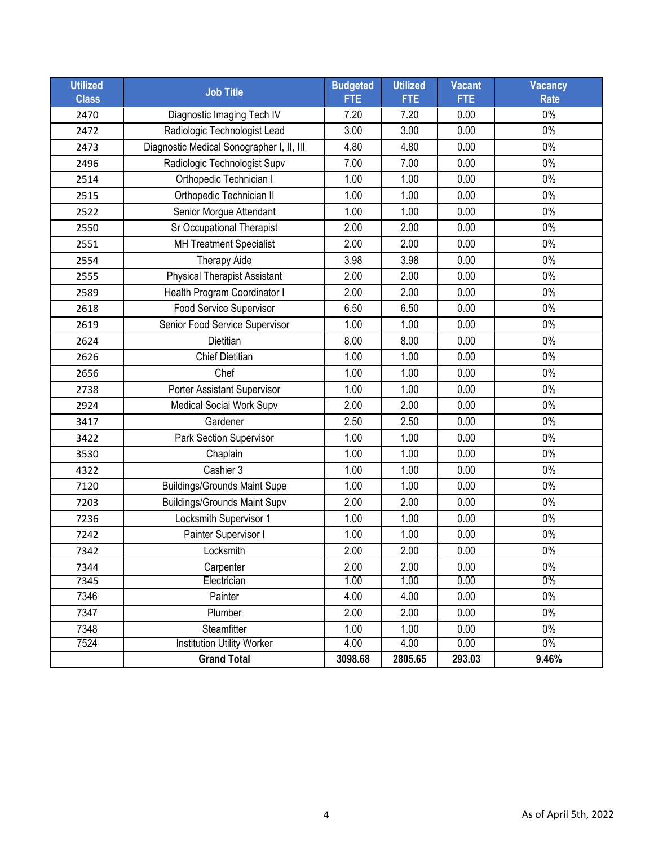| <b>Utilized</b><br><b>Class</b> | <b>Job Title</b>                          | <b>Budgeted</b><br><b>FTE</b> | <b>Utilized</b><br><b>FTE</b> | <b>Vacant</b><br><b>FTE</b> | <b>Vacancy</b><br><b>Rate</b> |
|---------------------------------|-------------------------------------------|-------------------------------|-------------------------------|-----------------------------|-------------------------------|
| 2470                            | Diagnostic Imaging Tech IV                | 7.20                          | 7.20                          | 0.00                        | $0\%$                         |
| 2472                            | Radiologic Technologist Lead              | 3.00                          | 3.00                          | 0.00                        | $0\%$                         |
| 2473                            | Diagnostic Medical Sonographer I, II, III | 4.80                          | 4.80                          | 0.00                        | $0\%$                         |
| 2496                            | Radiologic Technologist Supv              | 7.00                          | 7.00                          | 0.00                        | $0\%$                         |
| 2514                            | Orthopedic Technician I                   | 1.00                          | 1.00                          | 0.00                        | $0\%$                         |
| 2515                            | Orthopedic Technician II                  | 1.00                          | 1.00                          | 0.00                        | $0\%$                         |
| 2522                            | Senior Morgue Attendant                   | 1.00                          | 1.00                          | 0.00                        | $0\%$                         |
| 2550                            | Sr Occupational Therapist                 | 2.00                          | 2.00                          | 0.00                        | $0\%$                         |
| 2551                            | <b>MH Treatment Specialist</b>            | 2.00                          | 2.00                          | 0.00                        | $0\%$                         |
| 2554                            | <b>Therapy Aide</b>                       | 3.98                          | 3.98                          | 0.00                        | $0\%$                         |
| 2555                            | <b>Physical Therapist Assistant</b>       | 2.00                          | 2.00                          | 0.00                        | $0\%$                         |
| 2589                            | Health Program Coordinator I              | 2.00                          | 2.00                          | 0.00                        | 0%                            |
| 2618                            | Food Service Supervisor                   | 6.50                          | 6.50                          | 0.00                        | 0%                            |
| 2619                            | Senior Food Service Supervisor            | 1.00                          | 1.00                          | 0.00                        | 0%                            |
| 2624                            | Dietitian                                 | 8.00                          | 8.00                          | 0.00                        | 0%                            |
| 2626                            | <b>Chief Dietitian</b>                    | 1.00                          | 1.00                          | 0.00                        | 0%                            |
| 2656                            | Chef                                      | 1.00                          | 1.00                          | 0.00                        | 0%                            |
| 2738                            | Porter Assistant Supervisor               | 1.00                          | 1.00                          | 0.00                        | $0\%$                         |
| 2924                            | Medical Social Work Supv                  | 2.00                          | 2.00                          | 0.00                        | $0\%$                         |
| 3417                            | Gardener                                  | 2.50                          | 2.50                          | 0.00                        | $0\%$                         |
| 3422                            | <b>Park Section Supervisor</b>            | 1.00                          | 1.00                          | 0.00                        | $0\%$                         |
| 3530                            | Chaplain                                  | 1.00                          | 1.00                          | 0.00                        | $0\%$                         |
| 4322                            | Cashier 3                                 | 1.00                          | 1.00                          | 0.00                        | $0\%$                         |
| 7120                            | <b>Buildings/Grounds Maint Supe</b>       | 1.00                          | 1.00                          | 0.00                        | $0\%$                         |
| 7203                            | <b>Buildings/Grounds Maint Supv</b>       | 2.00                          | 2.00                          | 0.00                        | $0\%$                         |
| 7236                            | Locksmith Supervisor 1                    | 1.00                          | 1.00                          | 0.00                        | $0\%$                         |
| 7242                            | Painter Supervisor I                      | 1.00                          | 1.00                          | 0.00                        | $0\%$                         |
| 7342                            | Locksmith                                 | 2.00                          | 2.00                          | 0.00                        | $0\%$                         |
| 7344                            | Carpenter                                 | 2.00                          | 2.00                          | 0.00                        | $0\%$                         |
| 7345                            | Electrician                               | 1.00                          | 1.00                          | 0.00                        | $0\%$                         |
| 7346                            | Painter                                   | 4.00                          | 4.00                          | 0.00                        | $0\%$                         |
| 7347                            | Plumber                                   | 2.00                          | 2.00                          | 0.00                        | $0\%$                         |
| 7348                            | Steamfitter                               | 1.00                          | 1.00                          | 0.00                        | $0\%$                         |
| 7524                            | <b>Institution Utility Worker</b>         | 4.00                          | 4.00                          | 0.00                        | $0\%$                         |
|                                 | <b>Grand Total</b>                        | 3098.68                       | 2805.65                       | 293.03                      | 9.46%                         |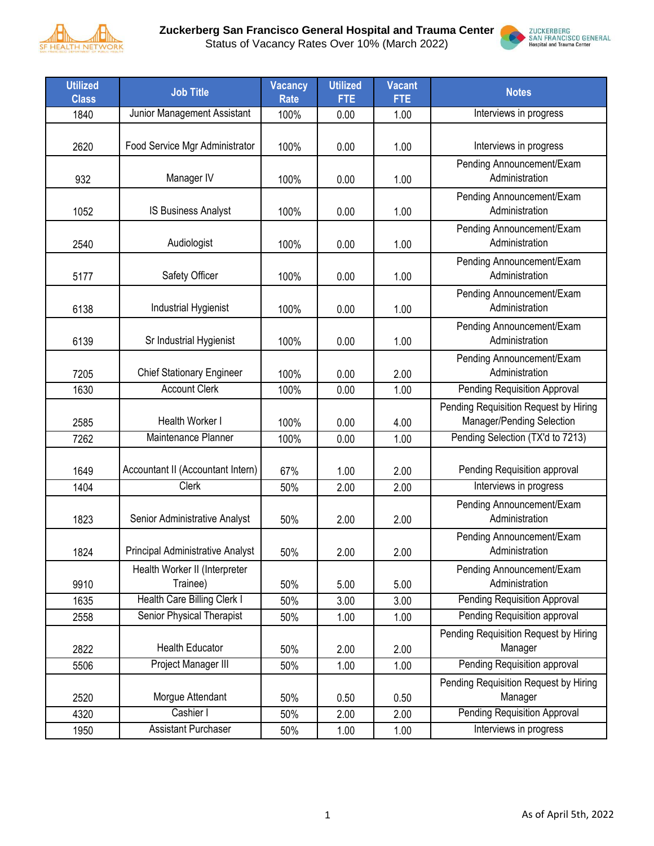

**Zuckerberg San Francisco General Hospital and Trauma Center**





| <b>Utilized</b><br><b>Class</b> | <b>Job Title</b>                          | <b>Vacancy</b><br><b>Rate</b> | <b>Utilized</b><br><b>FTE</b> | <b>Vacant</b><br><b>FTE</b> | <b>Notes</b>                                                       |
|---------------------------------|-------------------------------------------|-------------------------------|-------------------------------|-----------------------------|--------------------------------------------------------------------|
| 1840                            | Junior Management Assistant               | 100%                          | 0.00                          | 1.00                        | Interviews in progress                                             |
| 2620                            | Food Service Mgr Administrator            | 100%                          | 0.00                          | 1.00                        | Interviews in progress                                             |
| 932                             | Manager IV                                | 100%                          | 0.00                          | 1.00                        | Pending Announcement/Exam<br>Administration                        |
| 1052                            | IS Business Analyst                       | 100%                          | 0.00                          | 1.00                        | Pending Announcement/Exam<br>Administration                        |
| 2540                            | Audiologist                               | 100%                          | 0.00                          | 1.00                        | Pending Announcement/Exam<br>Administration                        |
| 5177                            | Safety Officer                            | 100%                          | 0.00                          | 1.00                        | Pending Announcement/Exam<br>Administration                        |
| 6138                            | Industrial Hygienist                      | 100%                          | 0.00                          | 1.00                        | Pending Announcement/Exam<br>Administration                        |
| 6139                            | Sr Industrial Hygienist                   | 100%                          | 0.00                          | 1.00                        | Pending Announcement/Exam<br>Administration                        |
| 7205                            | <b>Chief Stationary Engineer</b>          | 100%                          | 0.00                          | 2.00                        | Pending Announcement/Exam<br>Administration                        |
| 1630                            | <b>Account Clerk</b>                      | 100%                          | 0.00                          | 1.00                        | <b>Pending Requisition Approval</b>                                |
| 2585                            | Health Worker I                           | 100%                          | 0.00                          | 4.00                        | Pending Requisition Request by Hiring<br>Manager/Pending Selection |
| 7262                            | Maintenance Planner                       | 100%                          | 0.00                          | 1.00                        | Pending Selection (TX'd to 7213)                                   |
| 1649                            | Accountant II (Accountant Intern)         | 67%                           | 1.00                          | 2.00                        | Pending Requisition approval                                       |
| 1404                            | <b>Clerk</b>                              | 50%                           | 2.00                          | 2.00                        | Interviews in progress                                             |
| 1823                            | Senior Administrative Analyst             | 50%                           | 2.00                          | 2.00                        | Pending Announcement/Exam<br>Administration                        |
| 1824                            | Principal Administrative Analyst          | 50%                           | 2.00                          | 2.00                        | Pending Announcement/Exam<br>Administration                        |
| 9910                            | Health Worker II (Interpreter<br>Trainee) | 50%                           | 5.00                          | 5.00                        | Pending Announcement/Exam<br>Administration                        |
| 1635                            | Health Care Billing Clerk I               | 50%                           | 3.00                          | 3.00                        | <b>Pending Requisition Approval</b>                                |
| 2558                            | Senior Physical Therapist                 | 50%                           | 1.00                          | 1.00                        | Pending Requisition approval                                       |
| 2822                            | <b>Health Educator</b>                    | 50%                           | 2.00                          | 2.00                        | Pending Requisition Request by Hiring<br>Manager                   |
| 5506                            | Project Manager III                       | 50%                           | 1.00                          | 1.00                        | Pending Requisition approval                                       |
| 2520                            | Morgue Attendant                          | 50%                           | 0.50                          | 0.50                        | Pending Requisition Request by Hiring<br>Manager                   |
| 4320                            | Cashier I                                 | 50%                           | 2.00                          | 2.00                        | <b>Pending Requisition Approval</b>                                |
| 1950                            | <b>Assistant Purchaser</b>                | 50%                           | 1.00                          | 1.00                        | Interviews in progress                                             |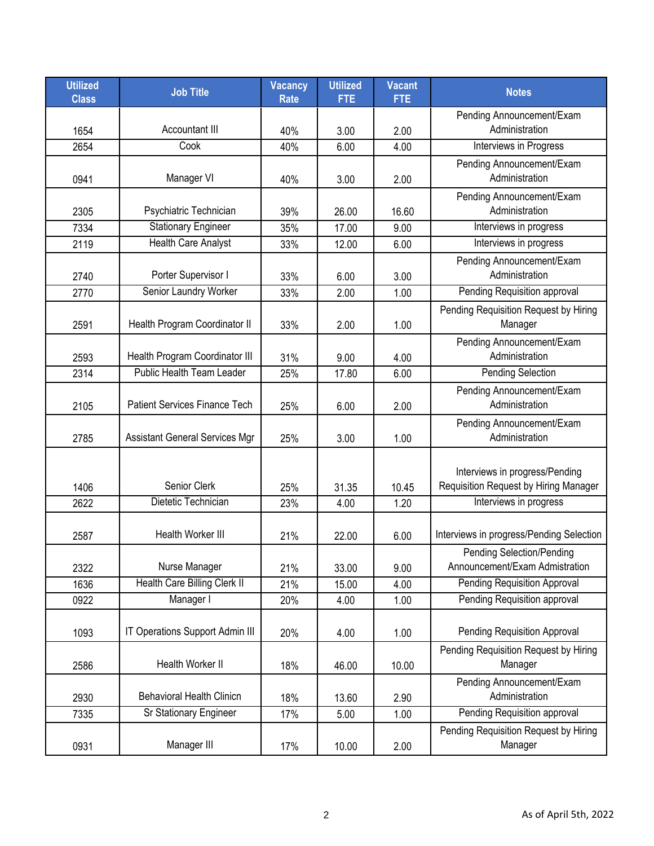| <b>Utilized</b><br><b>Class</b> | <b>Job Title</b>                      | <b>Vacancy</b><br><b>Rate</b> | <b>Utilized</b><br><b>FTE</b> | <b>Vacant</b><br><b>FTE</b> | <b>Notes</b>                                                            |
|---------------------------------|---------------------------------------|-------------------------------|-------------------------------|-----------------------------|-------------------------------------------------------------------------|
|                                 |                                       |                               |                               |                             | Pending Announcement/Exam                                               |
| 1654                            | Accountant III                        | 40%                           | 3.00                          | 2.00                        | Administration                                                          |
| 2654                            | Cook                                  | 40%                           | 6.00                          | 4.00                        | Interviews in Progress                                                  |
| 0941                            | Manager VI                            | 40%                           | 3.00                          | 2.00                        | Pending Announcement/Exam<br>Administration                             |
| 2305                            | Psychiatric Technician                | 39%                           | 26.00                         | 16.60                       | Pending Announcement/Exam<br>Administration                             |
| 7334                            | <b>Stationary Engineer</b>            | 35%                           | 17.00                         | 9.00                        | Interviews in progress                                                  |
| 2119                            | <b>Health Care Analyst</b>            | 33%                           | 12.00                         | 6.00                        | Interviews in progress                                                  |
| 2740                            | Porter Supervisor I                   | 33%                           | 6.00                          | 3.00                        | Pending Announcement/Exam<br>Administration                             |
| 2770                            | Senior Laundry Worker                 | 33%                           | 2.00                          | 1.00                        | Pending Requisition approval                                            |
| 2591                            | Health Program Coordinator II         | 33%                           | 2.00                          | 1.00                        | Pending Requisition Request by Hiring<br>Manager                        |
| 2593                            | Health Program Coordinator III        | 31%                           | 9.00                          | 4.00                        | Pending Announcement/Exam<br>Administration                             |
| 2314                            | <b>Public Health Team Leader</b>      | 25%                           | 17.80                         | 6.00                        | <b>Pending Selection</b>                                                |
| 2105                            | <b>Patient Services Finance Tech</b>  | 25%                           | 6.00                          | 2.00                        | Pending Announcement/Exam<br>Administration                             |
| 2785                            | <b>Assistant General Services Mgr</b> | 25%                           | 3.00                          | 1.00                        | Pending Announcement/Exam<br>Administration                             |
| 1406                            | Senior Clerk                          | 25%                           | 31.35                         | 10.45                       | Interviews in progress/Pending<br>Requisition Request by Hiring Manager |
| 2622                            | Dietetic Technician                   | 23%                           | 4.00                          | 1.20                        | Interviews in progress                                                  |
| 2587                            | Health Worker III                     | 21%                           | 22.00                         | 6.00                        | Interviews in progress/Pending Selection                                |
| 2322                            | Nurse Manager                         | 21%                           | 33.00                         | 9.00                        | <b>Pending Selection/Pending</b><br>Announcement/Exam Admistration      |
| 1636                            | Health Care Billing Clerk II          | 21%                           | 15.00                         | 4.00                        | <b>Pending Requisition Approval</b>                                     |
| 0922                            | Manager I                             | 20%                           | 4.00                          | 1.00                        | Pending Requisition approval                                            |
| 1093                            | IT Operations Support Admin III       | 20%                           | 4.00                          | 1.00                        | Pending Requisition Approval                                            |
| 2586                            | Health Worker II                      | 18%                           | 46.00                         | 10.00                       | Pending Requisition Request by Hiring<br>Manager                        |
| 2930                            | <b>Behavioral Health Clinicn</b>      | 18%                           | 13.60                         | 2.90                        | Pending Announcement/Exam<br>Administration                             |
| 7335                            | Sr Stationary Engineer                | 17%                           | 5.00                          | 1.00                        | Pending Requisition approval                                            |
| 0931                            | Manager III                           | 17%                           | 10.00                         | 2.00                        | Pending Requisition Request by Hiring<br>Manager                        |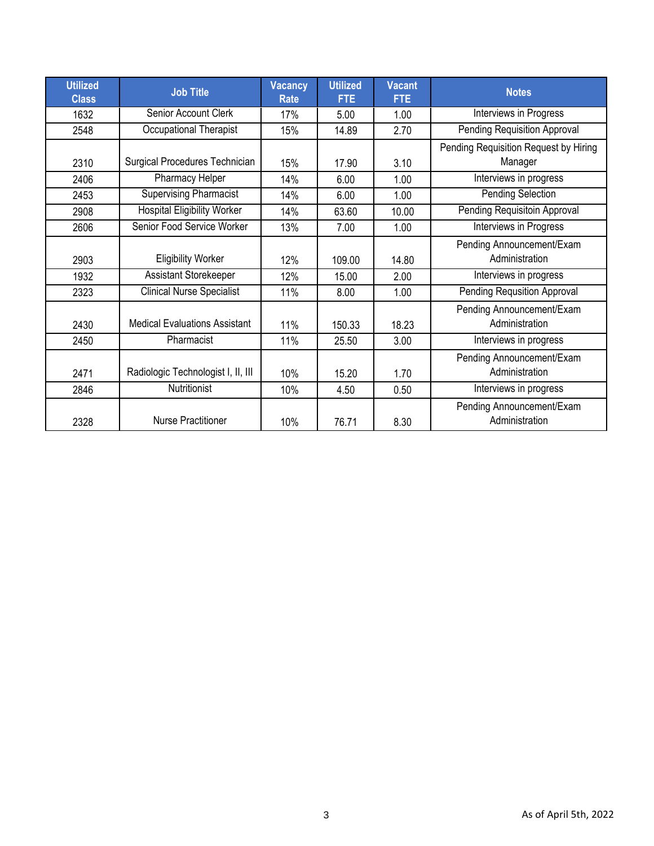| <b>Utilized</b><br><b>Class</b> | <b>Job Title</b>                     | <b>Vacancy</b><br><b>Rate</b> | <b>Utilized</b><br><b>FTE</b> | <b>Vacant</b><br><b>FTE</b> | <b>Notes</b>                                     |
|---------------------------------|--------------------------------------|-------------------------------|-------------------------------|-----------------------------|--------------------------------------------------|
| 1632                            | Senior Account Clerk                 | 17%                           | 5.00                          | 1.00                        | Interviews in Progress                           |
| 2548                            | Occupational Therapist               | 15%                           | 14.89                         | 2.70                        | Pending Requisition Approval                     |
| 2310                            | Surgical Procedures Technician       | 15%                           | 17.90                         | 3.10                        | Pending Requisition Request by Hiring<br>Manager |
| 2406                            | Pharmacy Helper                      | 14%                           | 6.00                          | 1.00                        | Interviews in progress                           |
| 2453                            | <b>Supervising Pharmacist</b>        | 14%                           | 6.00                          | 1.00                        | Pending Selection                                |
| 2908                            | <b>Hospital Eligibility Worker</b>   | 14%                           | 63.60                         | 10.00                       | Pending Requisitoin Approval                     |
| 2606                            | Senior Food Service Worker           | 13%                           | 7.00                          | 1.00                        | Interviews in Progress                           |
| 2903                            | <b>Eligibility Worker</b>            | 12%                           | 109.00                        | 14.80                       | Pending Announcement/Exam<br>Administration      |
| 1932                            | Assistant Storekeeper                | 12%                           | 15.00                         | 2.00                        | Interviews in progress                           |
| 2323                            | <b>Clinical Nurse Specialist</b>     | 11%                           | 8.00                          | 1.00                        | <b>Pending Requsition Approval</b>               |
| 2430                            | <b>Medical Evaluations Assistant</b> | 11%                           | 150.33                        | 18.23                       | Pending Announcement/Exam<br>Administration      |
| 2450                            | Pharmacist                           | 11%                           | 25.50                         | 3.00                        | Interviews in progress                           |
| 2471                            | Radiologic Technologist I, II, III   | 10%                           | 15.20                         | 1.70                        | Pending Announcement/Exam<br>Administration      |
| 2846                            | Nutritionist                         | 10%                           | 4.50                          | 0.50                        | Interviews in progress                           |
| 2328                            | <b>Nurse Practitioner</b>            | 10%                           | 76.71                         | 8.30                        | Pending Announcement/Exam<br>Administration      |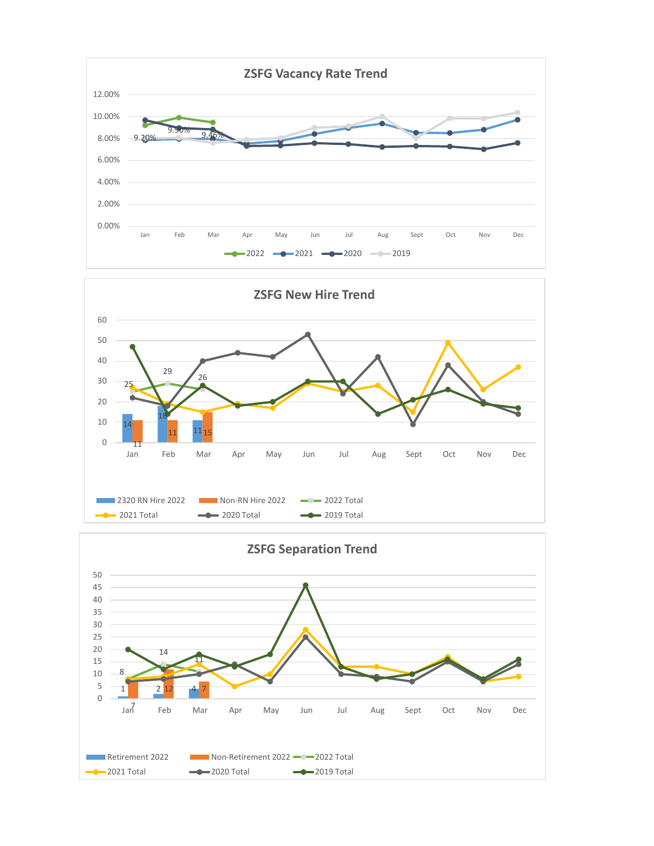



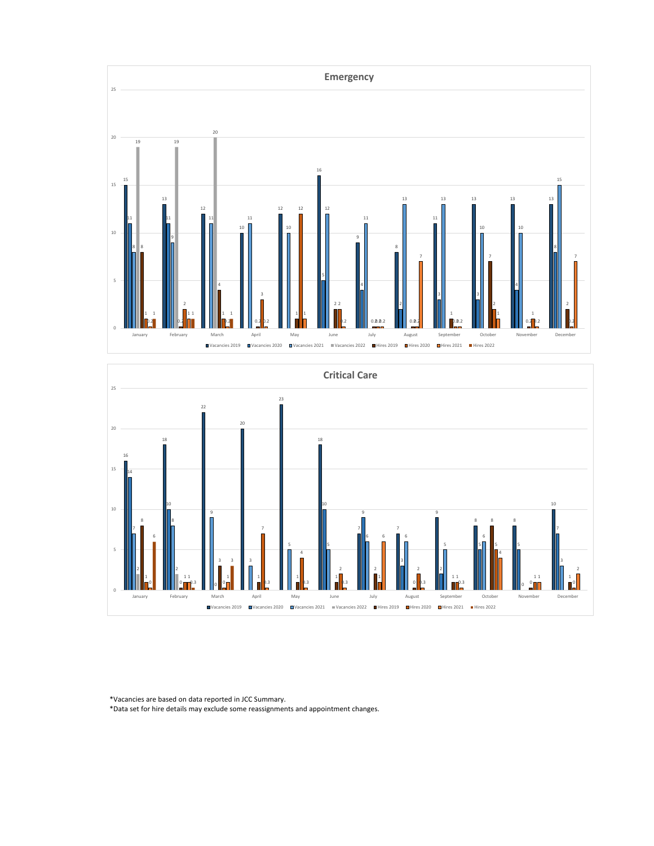



\*Vacancies are based on data reported in JCC Summary.

\*Data set for hire details may exclude some reassignments and appointment changes.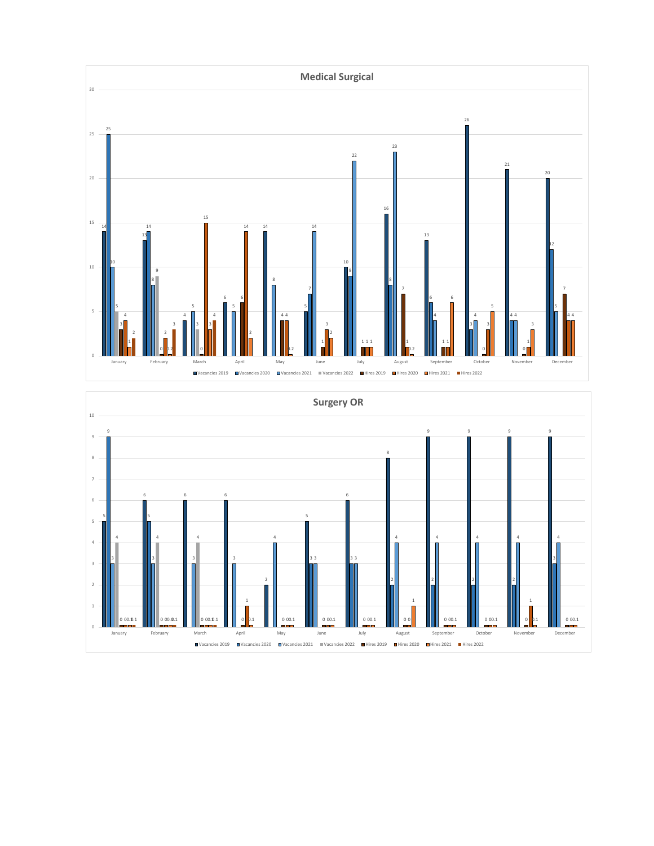